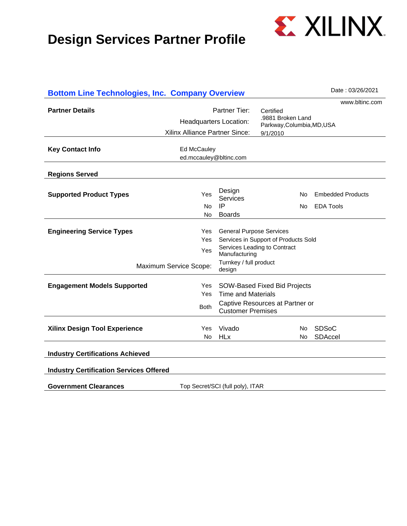

| <b>Bottom Line Technologies, Inc. Company Overview</b> |                    |                                                                                                           | Date: 03/26/2021                                                                                                                                                                                        |                                                                                                                                                                                       |
|--------------------------------------------------------|--------------------|-----------------------------------------------------------------------------------------------------------|---------------------------------------------------------------------------------------------------------------------------------------------------------------------------------------------------------|---------------------------------------------------------------------------------------------------------------------------------------------------------------------------------------|
|                                                        |                    |                                                                                                           |                                                                                                                                                                                                         | www.bltinc.com                                                                                                                                                                        |
|                                                        |                    | Certified                                                                                                 |                                                                                                                                                                                                         |                                                                                                                                                                                       |
| <b>Headquarters Location:</b>                          |                    |                                                                                                           |                                                                                                                                                                                                         |                                                                                                                                                                                       |
|                                                        |                    | 9/1/2010                                                                                                  |                                                                                                                                                                                                         |                                                                                                                                                                                       |
|                                                        |                    |                                                                                                           |                                                                                                                                                                                                         |                                                                                                                                                                                       |
|                                                        |                    |                                                                                                           |                                                                                                                                                                                                         |                                                                                                                                                                                       |
|                                                        |                    |                                                                                                           |                                                                                                                                                                                                         |                                                                                                                                                                                       |
|                                                        |                    |                                                                                                           |                                                                                                                                                                                                         |                                                                                                                                                                                       |
| Yes                                                    | Design<br>Services |                                                                                                           |                                                                                                                                                                                                         | <b>Embedded Products</b>                                                                                                                                                              |
| No.                                                    | IP                 |                                                                                                           |                                                                                                                                                                                                         | <b>EDA Tools</b>                                                                                                                                                                      |
| No.                                                    |                    |                                                                                                           |                                                                                                                                                                                                         |                                                                                                                                                                                       |
| Yes.                                                   |                    |                                                                                                           |                                                                                                                                                                                                         |                                                                                                                                                                                       |
| Yes                                                    |                    |                                                                                                           |                                                                                                                                                                                                         |                                                                                                                                                                                       |
| Yes                                                    |                    |                                                                                                           |                                                                                                                                                                                                         |                                                                                                                                                                                       |
| Maximum Service Scope:                                 | design             |                                                                                                           |                                                                                                                                                                                                         |                                                                                                                                                                                       |
| Yes                                                    |                    |                                                                                                           |                                                                                                                                                                                                         |                                                                                                                                                                                       |
| Yes.                                                   |                    |                                                                                                           |                                                                                                                                                                                                         |                                                                                                                                                                                       |
| <b>Both</b>                                            |                    |                                                                                                           |                                                                                                                                                                                                         |                                                                                                                                                                                       |
| Yes.                                                   | Vivado             |                                                                                                           |                                                                                                                                                                                                         | <b>SDSoC</b>                                                                                                                                                                          |
| No.                                                    | <b>HLx</b>         |                                                                                                           |                                                                                                                                                                                                         | SDAccel                                                                                                                                                                               |
|                                                        |                    |                                                                                                           |                                                                                                                                                                                                         |                                                                                                                                                                                       |
| <b>Industry Certification Services Offered</b>         |                    |                                                                                                           |                                                                                                                                                                                                         |                                                                                                                                                                                       |
|                                                        |                    |                                                                                                           |                                                                                                                                                                                                         |                                                                                                                                                                                       |
|                                                        |                    | Partner Tier:<br>Xilinx Alliance Partner Since:<br>Ed McCauley<br>ed.mccauley@bltinc.com<br><b>Boards</b> | <b>General Purpose Services</b><br>Services Leading to Contract<br>Manufacturing<br>Turnkey / full product<br><b>Time and Materials</b><br><b>Customer Premises</b><br>Top Secret/SCI (full poly), ITAR | .9881 Broken Land<br>Parkway, Columbia, MD, USA<br>No.<br>No.<br>Services in Support of Products Sold<br>SOW-Based Fixed Bid Projects<br>Captive Resources at Partner or<br>No.<br>No |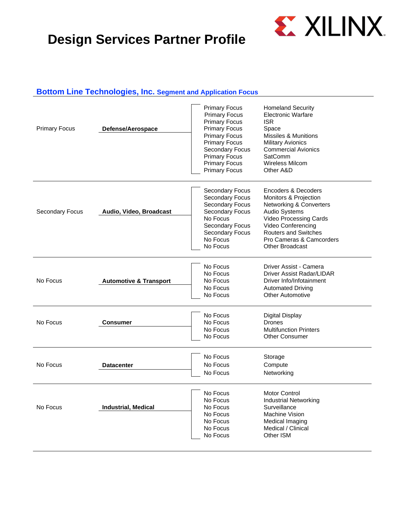

#### **Bottom Line Technologies, Inc. Segment and Application Focus**

| <b>Primary Focus</b>   | Defense/Aerospace                 | <b>Primary Focus</b><br><b>Primary Focus</b><br><b>Primary Focus</b><br><b>Primary Focus</b><br><b>Primary Focus</b><br><b>Primary Focus</b><br><b>Secondary Focus</b><br><b>Primary Focus</b><br><b>Primary Focus</b><br><b>Primary Focus</b> | <b>Homeland Security</b><br><b>Electronic Warfare</b><br><b>ISR</b><br>Space<br>Missiles & Munitions<br><b>Military Avionics</b><br><b>Commercial Avionics</b><br><b>SatComm</b><br><b>Wireless Milcom</b><br>Other A&D                                |
|------------------------|-----------------------------------|------------------------------------------------------------------------------------------------------------------------------------------------------------------------------------------------------------------------------------------------|--------------------------------------------------------------------------------------------------------------------------------------------------------------------------------------------------------------------------------------------------------|
| <b>Secondary Focus</b> | Audio, Video, Broadcast           | Secondary Focus<br>Secondary Focus<br>Secondary Focus<br>Secondary Focus<br>No Focus<br>Secondary Focus<br>Secondary Focus<br>No Focus<br>No Focus                                                                                             | Encoders & Decoders<br><b>Monitors &amp; Projection</b><br>Networking & Converters<br><b>Audio Systems</b><br><b>Video Processing Cards</b><br>Video Conferencing<br><b>Routers and Switches</b><br>Pro Cameras & Camcorders<br><b>Other Broadcast</b> |
| No Focus               | <b>Automotive &amp; Transport</b> | No Focus<br>No Focus<br>No Focus<br>No Focus<br>No Focus                                                                                                                                                                                       | Driver Assist - Camera<br>Driver Assist Radar/LIDAR<br>Driver Info/Infotainment<br><b>Automated Driving</b><br><b>Other Automotive</b>                                                                                                                 |
| No Focus               | <b>Consumer</b>                   | No Focus<br>No Focus<br>No Focus<br>No Focus                                                                                                                                                                                                   | Digital Display<br><b>Drones</b><br><b>Multifunction Printers</b><br><b>Other Consumer</b>                                                                                                                                                             |
| No Focus               | <b>Datacenter</b>                 | No Focus<br>No Focus<br>No Focus                                                                                                                                                                                                               | Storage<br>Compute<br>Networking                                                                                                                                                                                                                       |
| No Focus               | <b>Industrial, Medical</b>        | No Focus<br>No Focus<br>No Focus<br>No Focus<br>No Focus<br>No Focus<br>No Focus                                                                                                                                                               | <b>Motor Control</b><br><b>Industrial Networking</b><br>Surveillance<br>Machine Vision<br>Medical Imaging<br>Medical / Clinical<br>Other ISM                                                                                                           |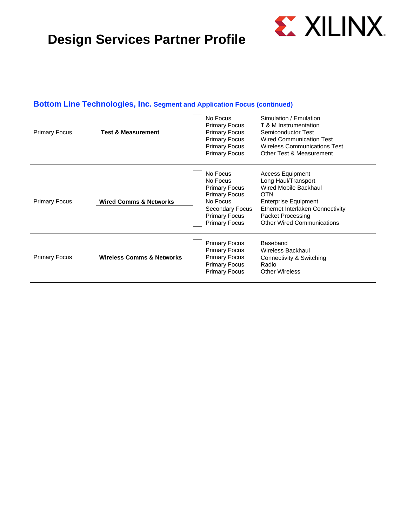

#### **Bottom Line Technologies, Inc. Segment and Application Focus (continued)**

| <b>Primary Focus</b> | No Focus<br><b>Primary Focus</b><br><b>Primary Focus</b><br>Test & Measurement<br><b>Primary Focus</b><br><b>Primary Focus</b><br><b>Primary Focus</b> |                                                                                                                                                     | Simulation / Emulation<br>T & M Instrumentation<br>Semiconductor Test<br><b>Wired Communication Test</b><br><b>Wireless Communications Test</b><br>Other Test & Measurement                                        |
|----------------------|--------------------------------------------------------------------------------------------------------------------------------------------------------|-----------------------------------------------------------------------------------------------------------------------------------------------------|--------------------------------------------------------------------------------------------------------------------------------------------------------------------------------------------------------------------|
| <b>Primary Focus</b> | <b>Wired Comms &amp; Networks</b>                                                                                                                      | No Focus<br>No Focus<br><b>Primary Focus</b><br><b>Primary Focus</b><br>No Focus<br>Secondary Focus<br><b>Primary Focus</b><br><b>Primary Focus</b> | <b>Access Equipment</b><br>Long Haul/Transport<br>Wired Mobile Backhaul<br><b>OTN</b><br><b>Enterprise Equipment</b><br>Ethernet Interlaken Connectivity<br>Packet Processing<br><b>Other Wired Communications</b> |
| <b>Primary Focus</b> | <b>Wireless Comms &amp; Networks</b>                                                                                                                   | <b>Primary Focus</b><br><b>Primary Focus</b><br><b>Primary Focus</b><br><b>Primary Focus</b><br><b>Primary Focus</b>                                | Baseband<br><b>Wireless Backhaul</b><br>Connectivity & Switching<br>Radio<br><b>Other Wireless</b>                                                                                                                 |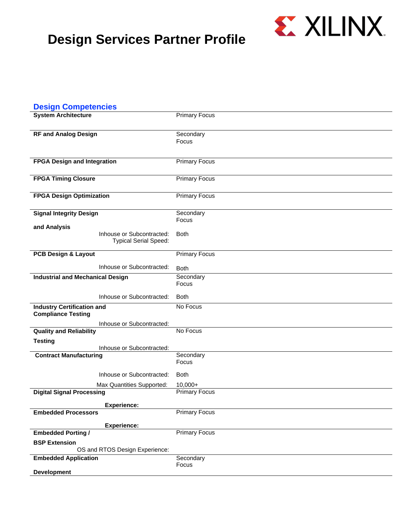

| <b>Design Competencies</b>                                     |                                                           |                                   |
|----------------------------------------------------------------|-----------------------------------------------------------|-----------------------------------|
| <b>System Architecture</b>                                     |                                                           | <b>Primary Focus</b>              |
| <b>RF and Analog Design</b>                                    |                                                           | Secondary<br>Focus                |
| <b>FPGA Design and Integration</b>                             |                                                           | <b>Primary Focus</b>              |
| <b>FPGA Timing Closure</b>                                     |                                                           | <b>Primary Focus</b>              |
| <b>FPGA Design Optimization</b>                                |                                                           | <b>Primary Focus</b>              |
| <b>Signal Integrity Design</b><br>and Analysis                 |                                                           | Secondary<br>Focus                |
|                                                                | Inhouse or Subcontracted:<br><b>Typical Serial Speed:</b> | <b>Both</b>                       |
| <b>PCB Design &amp; Layout</b>                                 |                                                           | <b>Primary Focus</b>              |
|                                                                | Inhouse or Subcontracted:                                 | <b>Both</b>                       |
| <b>Industrial and Mechanical Design</b>                        |                                                           | Secondary<br>Focus                |
|                                                                | Inhouse or Subcontracted:                                 | <b>Both</b>                       |
| <b>Industry Certification and</b><br><b>Compliance Testing</b> |                                                           | No Focus                          |
| <b>Quality and Reliability</b>                                 | Inhouse or Subcontracted:                                 | No Focus                          |
| <b>Testing</b>                                                 |                                                           |                                   |
|                                                                | Inhouse or Subcontracted:                                 |                                   |
| <b>Contract Manufacturing</b>                                  |                                                           | Secondary<br>Focus                |
|                                                                | Inhouse or Subcontracted:                                 | <b>Both</b>                       |
| <b>Digital Signal Processing</b>                               | Max Quantities Supported:                                 | $10.000+$<br><b>Primary Focus</b> |
|                                                                |                                                           |                                   |
| <b>Embedded Processors</b>                                     | <b>Experience:</b>                                        | <b>Primary Focus</b>              |
|                                                                |                                                           |                                   |
| <b>Embedded Porting /</b>                                      | <b>Experience:</b>                                        | <b>Primary Focus</b>              |
| <b>BSP Extension</b>                                           |                                                           |                                   |
|                                                                | OS and RTOS Design Experience:                            |                                   |
| <b>Embedded Application</b>                                    |                                                           | Secondary                         |
| <b>Development</b>                                             |                                                           | Focus                             |